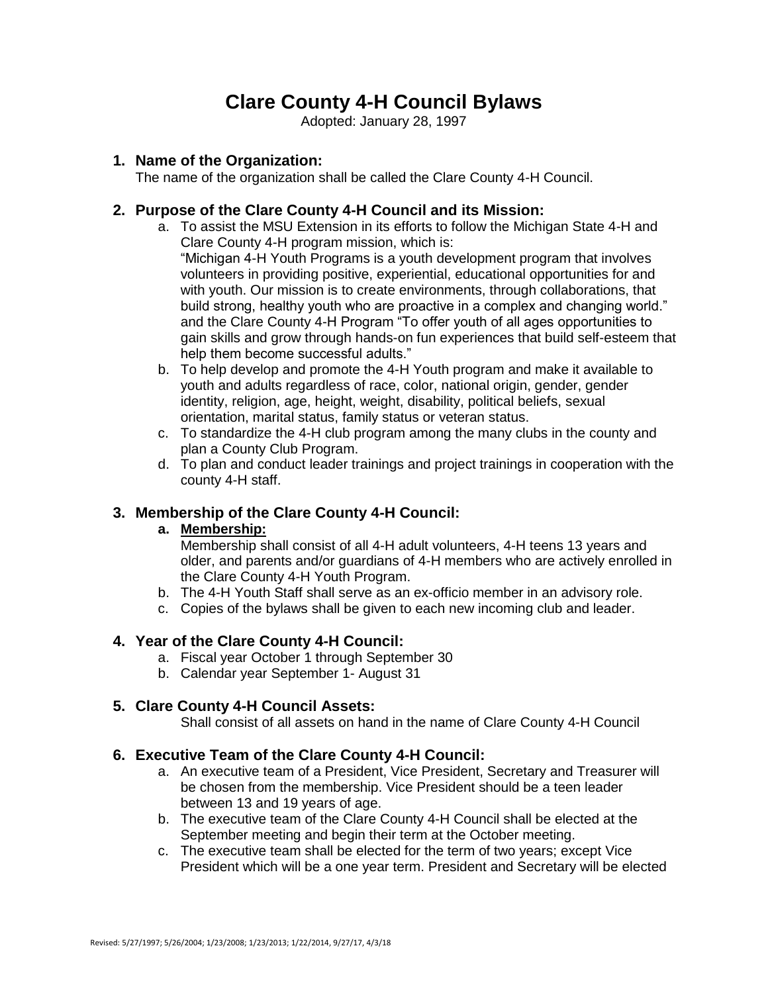# **Clare County 4-H Council Bylaws**

Adopted: January 28, 1997

### **1. Name of the Organization:**

The name of the organization shall be called the Clare County 4-H Council.

## **2. Purpose of the Clare County 4-H Council and its Mission:**

- a. To assist the MSU Extension in its efforts to follow the Michigan State 4-H and Clare County 4-H program mission, which is: "Michigan 4-H Youth Programs is a youth development program that involves volunteers in providing positive, experiential, educational opportunities for and with youth. Our mission is to create environments, through collaborations, that build strong, healthy youth who are proactive in a complex and changing world." and the Clare County 4-H Program "To offer youth of all ages opportunities to gain skills and grow through hands-on fun experiences that build self-esteem that help them become successful adults."
- b. To help develop and promote the 4-H Youth program and make it available to youth and adults regardless of race, color, national origin, gender, gender identity, religion, age, height, weight, disability, political beliefs, sexual orientation, marital status, family status or veteran status.
- c. To standardize the 4-H club program among the many clubs in the county and plan a County Club Program.
- d. To plan and conduct leader trainings and project trainings in cooperation with the county 4-H staff.

## **3. Membership of the Clare County 4-H Council:**

#### **a. Membership:**

Membership shall consist of all 4-H adult volunteers, 4-H teens 13 years and older, and parents and/or guardians of 4-H members who are actively enrolled in the Clare County 4-H Youth Program.

- b. The 4-H Youth Staff shall serve as an ex-officio member in an advisory role.
- c. Copies of the bylaws shall be given to each new incoming club and leader.

#### **4. Year of the Clare County 4-H Council:**

- a. Fiscal year October 1 through September 30
- b. Calendar year September 1- August 31

#### **5. Clare County 4-H Council Assets:**

Shall consist of all assets on hand in the name of Clare County 4-H Council

#### **6. Executive Team of the Clare County 4-H Council:**

- a. An executive team of a President, Vice President, Secretary and Treasurer will be chosen from the membership. Vice President should be a teen leader between 13 and 19 years of age.
- b. The executive team of the Clare County 4-H Council shall be elected at the September meeting and begin their term at the October meeting.
- c. The executive team shall be elected for the term of two years; except Vice President which will be a one year term. President and Secretary will be elected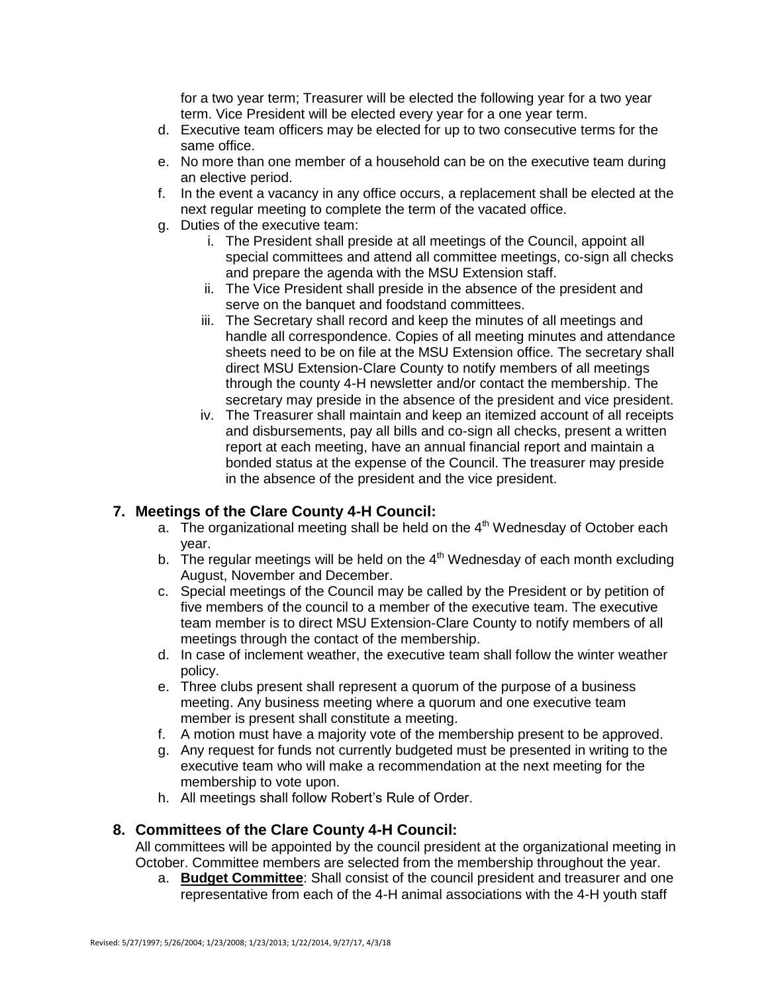for a two year term; Treasurer will be elected the following year for a two year term. Vice President will be elected every year for a one year term.

- d. Executive team officers may be elected for up to two consecutive terms for the same office.
- e. No more than one member of a household can be on the executive team during an elective period.
- f. In the event a vacancy in any office occurs, a replacement shall be elected at the next regular meeting to complete the term of the vacated office.
- g. Duties of the executive team:
	- i. The President shall preside at all meetings of the Council, appoint all special committees and attend all committee meetings, co-sign all checks and prepare the agenda with the MSU Extension staff.
	- ii. The Vice President shall preside in the absence of the president and serve on the banquet and foodstand committees.
	- iii. The Secretary shall record and keep the minutes of all meetings and handle all correspondence. Copies of all meeting minutes and attendance sheets need to be on file at the MSU Extension office. The secretary shall direct MSU Extension-Clare County to notify members of all meetings through the county 4-H newsletter and/or contact the membership. The secretary may preside in the absence of the president and vice president.
	- iv. The Treasurer shall maintain and keep an itemized account of all receipts and disbursements, pay all bills and co-sign all checks, present a written report at each meeting, have an annual financial report and maintain a bonded status at the expense of the Council. The treasurer may preside in the absence of the president and the vice president.

## **7. Meetings of the Clare County 4-H Council:**

- a. The organizational meeting shall be held on the  $4<sup>th</sup>$  Wednesday of October each year.
- b. The regular meetings will be held on the  $4<sup>th</sup>$  Wednesday of each month excluding August, November and December.
- c. Special meetings of the Council may be called by the President or by petition of five members of the council to a member of the executive team. The executive team member is to direct MSU Extension-Clare County to notify members of all meetings through the contact of the membership.
- d. In case of inclement weather, the executive team shall follow the winter weather policy.
- e. Three clubs present shall represent a quorum of the purpose of a business meeting. Any business meeting where a quorum and one executive team member is present shall constitute a meeting.
- f. A motion must have a majority vote of the membership present to be approved.
- g. Any request for funds not currently budgeted must be presented in writing to the executive team who will make a recommendation at the next meeting for the membership to vote upon.
- h. All meetings shall follow Robert's Rule of Order.

#### **8. Committees of the Clare County 4-H Council:**

All committees will be appointed by the council president at the organizational meeting in October. Committee members are selected from the membership throughout the year.

a. **Budget Committee**: Shall consist of the council president and treasurer and one representative from each of the 4-H animal associations with the 4-H youth staff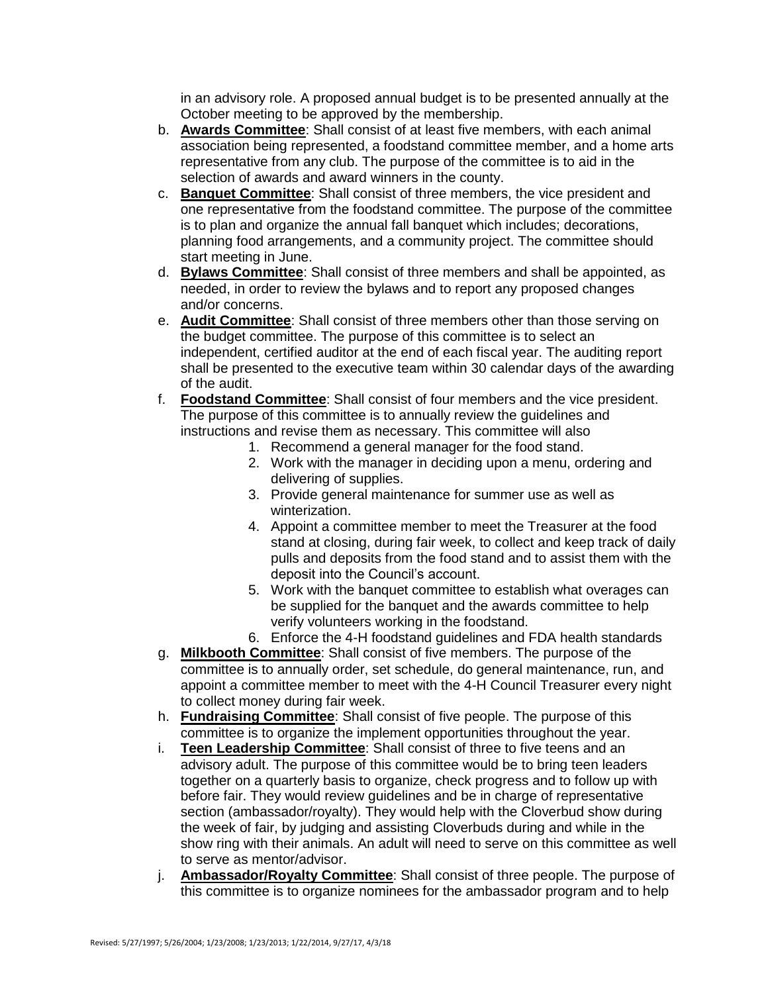in an advisory role. A proposed annual budget is to be presented annually at the October meeting to be approved by the membership.

- b. **Awards Committee**: Shall consist of at least five members, with each animal association being represented, a foodstand committee member, and a home arts representative from any club. The purpose of the committee is to aid in the selection of awards and award winners in the county.
- c. **Banquet Committee**: Shall consist of three members, the vice president and one representative from the foodstand committee. The purpose of the committee is to plan and organize the annual fall banquet which includes; decorations, planning food arrangements, and a community project. The committee should start meeting in June.
- d. **Bylaws Committee**: Shall consist of three members and shall be appointed, as needed, in order to review the bylaws and to report any proposed changes and/or concerns.
- e. **Audit Committee**: Shall consist of three members other than those serving on the budget committee. The purpose of this committee is to select an independent, certified auditor at the end of each fiscal year. The auditing report shall be presented to the executive team within 30 calendar days of the awarding of the audit.
- f. **Foodstand Committee**: Shall consist of four members and the vice president. The purpose of this committee is to annually review the guidelines and instructions and revise them as necessary. This committee will also
	- 1. Recommend a general manager for the food stand.
		- 2. Work with the manager in deciding upon a menu, ordering and delivering of supplies.
	- 3. Provide general maintenance for summer use as well as winterization.
	- 4. Appoint a committee member to meet the Treasurer at the food stand at closing, during fair week, to collect and keep track of daily pulls and deposits from the food stand and to assist them with the deposit into the Council's account.
	- 5. Work with the banquet committee to establish what overages can be supplied for the banquet and the awards committee to help verify volunteers working in the foodstand.
	- 6. Enforce the 4-H foodstand guidelines and FDA health standards
- g. **Milkbooth Committee**: Shall consist of five members. The purpose of the committee is to annually order, set schedule, do general maintenance, run, and appoint a committee member to meet with the 4-H Council Treasurer every night to collect money during fair week.
- h. **Fundraising Committee**: Shall consist of five people. The purpose of this committee is to organize the implement opportunities throughout the year.
- i. **Teen Leadership Committee**: Shall consist of three to five teens and an advisory adult. The purpose of this committee would be to bring teen leaders together on a quarterly basis to organize, check progress and to follow up with before fair. They would review guidelines and be in charge of representative section (ambassador/royalty). They would help with the Cloverbud show during the week of fair, by judging and assisting Cloverbuds during and while in the show ring with their animals. An adult will need to serve on this committee as well to serve as mentor/advisor.
- j. **Ambassador/Royalty Committee**: Shall consist of three people. The purpose of this committee is to organize nominees for the ambassador program and to help